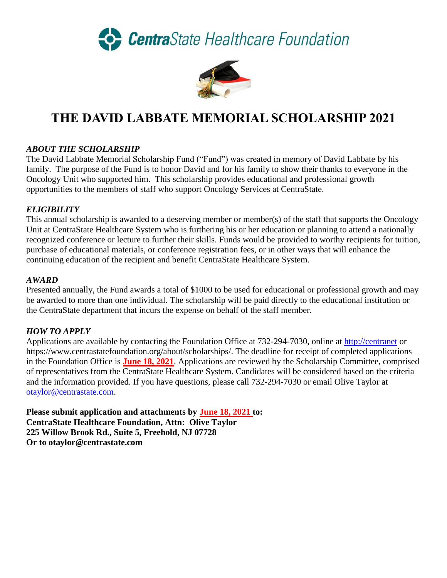CentraState Healthcare Foundation



# **THE DAVID LABBATE MEMORIAL SCHOLARSHIP 2021**

# *ABOUT THE SCHOLARSHIP*

The David Labbate Memorial Scholarship Fund ("Fund") was created in memory of David Labbate by his family. The purpose of the Fund is to honor David and for his family to show their thanks to everyone in the Oncology Unit who supported him. This scholarship provides educational and professional growth opportunities to the members of staff who support Oncology Services at CentraState.

# *ELIGIBILITY*

This annual scholarship is awarded to a deserving member or member(s) of the staff that supports the Oncology Unit at CentraState Healthcare System who is furthering his or her education or planning to attend a nationally recognized conference or lecture to further their skills. Funds would be provided to worthy recipients for tuition, purchase of educational materials, or conference registration fees, or in other ways that will enhance the continuing education of the recipient and benefit CentraState Healthcare System.

#### *AWARD*

Presented annually, the Fund awards a total of \$1000 to be used for educational or professional growth and may be awarded to more than one individual. The scholarship will be paid directly to the educational institution or the CentraState department that incurs the expense on behalf of the staff member.

# *HOW TO APPLY*

Applications are available by contacting the Foundation Office at 732-294-7030, online at [http://centranet](http://centranet/) or https://www.centrastatefoundation.org/about/scholarships/. The deadline for receipt of completed applications in the Foundation Office is **June 18, 2021**. Applications are reviewed by the Scholarship Committee, comprised of representatives from the CentraState Healthcare System. Candidates will be considered based on the criteria and the information provided. If you have questions, please call 732-294-7030 or email Olive Taylor at [otaylor@centrastate.com.](mailto:otaylor@centrastate.com)

**Please submit application and attachments by June 18, 2021 to: CentraState Healthcare Foundation, Attn: Olive Taylor 225 Willow Brook Rd., Suite 5, Freehold, NJ 07728 Or to otaylor@centrastate.com**